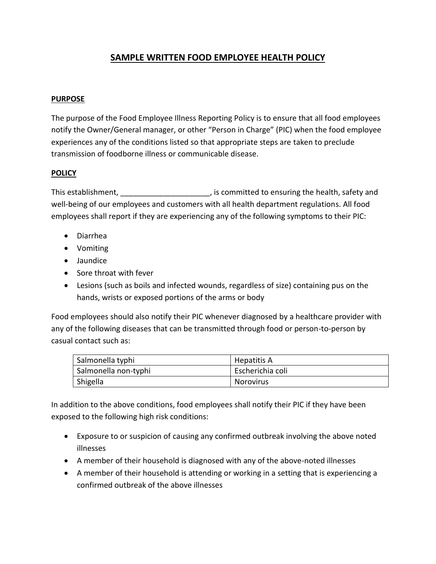# **SAMPLE WRITTEN FOOD EMPLOYEE HEALTH POLICY**

### **PURPOSE**

The purpose of the Food Employee Illness Reporting Policy is to ensure that all food employees notify the Owner/General manager, or other "Person in Charge" (PIC) when the food employee experiences any of the conditions listed so that appropriate steps are taken to preclude transmission of foodborne illness or communicable disease.

#### **POLICY**

This establishment, This establishment,  $\blacksquare$ , is committed to ensuring the health, safety and well-being of our employees and customers with all health department regulations. All food employees shall report if they are experiencing any of the following symptoms to their PIC:

- Diarrhea
- Vomiting
- Jaundice
- Sore throat with fever
- Lesions (such as boils and infected wounds, regardless of size) containing pus on the hands, wrists or exposed portions of the arms or body

Food employees should also notify their PIC whenever diagnosed by a healthcare provider with any of the following diseases that can be transmitted through food or person-to-person by casual contact such as:

| Salmonella typhi     | Hepatitis A      |
|----------------------|------------------|
| Salmonella non-typhi | Escherichia coli |
| Shigella             | <b>Norovirus</b> |

In addition to the above conditions, food employees shall notify their PIC if they have been exposed to the following high risk conditions:

- Exposure to or suspicion of causing any confirmed outbreak involving the above noted illnesses
- A member of their household is diagnosed with any of the above-noted illnesses
- A member of their household is attending or working in a setting that is experiencing a confirmed outbreak of the above illnesses